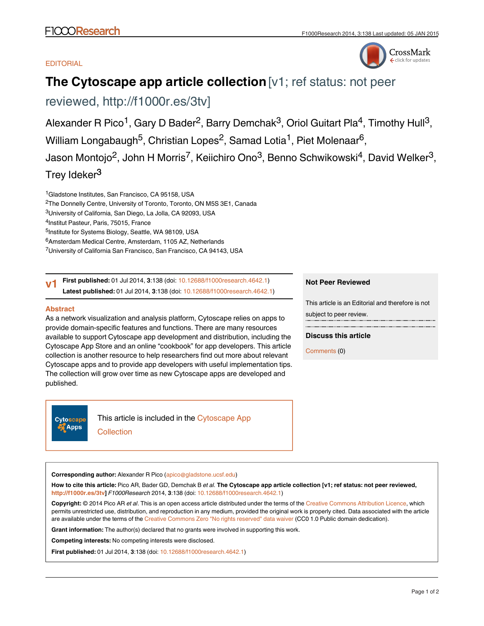# **EDITORIAL**



# **The Cytoscape app article collection** [v1; ref status: not peer

reviewed, [http://f1000r.es/3tv\]](http://f1000r.es/3tv)

Alexander R Pico<sup>1</sup>, Gary D Bader<sup>2</sup>, Barry Demchak<sup>3</sup>, Oriol Guitart Pla<sup>4</sup>, Timothy Hull<sup>3</sup>, William Longabaugh<sup>5</sup>, Christian Lopes<sup>2</sup>, Samad Lotia<sup>1</sup>, Piet Molenaar<sup>6</sup>, Jason Montojo<sup>2</sup>, John H Morris<sup>7</sup>, Keiichiro Ono<sup>3</sup>, Benno Schwikowski<sup>4</sup>, David Welker<sup>3</sup>, Trey Ideker<sup>3</sup>

<sup>1</sup>Gladstone Institutes, San Francisco, CA 95158, USA

<sup>2</sup>The Donnelly Centre, University of Toronto, Toronto, ON M5S 3E1, Canada

<sup>3</sup>University of California, San Diego, La Jolla, CA 92093, USA

<sup>4</sup>Institut Pasteur, Paris, 75015, France

<sup>5</sup>Institute for Systems Biology, Seattle, WA 98109, USA

<sup>6</sup>Amsterdam Medical Centre, Amsterdam, 1105 AZ, Netherlands

<sup>7</sup>University of California San Francisco, San Francisco, CA 94143, USA

**First published:** 01 Jul 2014, **3**:138 (doi: [10.12688/f1000research.4642.1\)](http://dx.doi.org/10.12688/f1000research.4642.1) **Latest published:** 01 Jul 2014, **3**:138 (doi: [10.12688/f1000research.4642.1](http://dx.doi.org/10.12688/f1000research.4642.1)) **v1**

# **Abstract**

As a network visualization and analysis platform, Cytoscape relies on apps to provide domain-specific features and functions. There are many resources available to support Cytoscape app development and distribution, including the Cytoscape App Store and an online "cookbook" for app developers. This article collection is another resource to help researchers find out more about relevant Cytoscape apps and to provide app developers with useful implementation tips. The collection will grow over time as new Cytoscape apps are developed and published.

**Cytoscape Apps** 

This article is included in the [Cytoscape App](http://f1000research.com/article-collections/cytoscapeapps) **[Collection](http://f1000research.com/article-collections/cytoscapeapps)** 

**Not Peer Reviewed**

This article is an Editorial and therefore is not subject to peer review.

**Discuss this article**

Comments (0)

**Corresponding author:** Alexander R Pico (apico@gladstone.ucsf.edu)

**How to cite this article:** Pico AR, Bader GD, Demchak B *et al.* **The Cytoscape app article collection [v1; ref status: not peer reviewed, [http://f1000r.es/3tv\]](http://f1000r.es/3tv)** *F1000Research* 2014, **3**:138 (doi: [10.12688/f1000research.4642.1\)](http://dx.doi.org/10.12688/f1000research.4642.1)

**Copyright:** © 2014 Pico AR *et al*. This is an open access article distributed under the terms of the [Creative Commons Attribution Licence](http://creativecommons.org/licenses/by/4.0/), which permits unrestricted use, distribution, and reproduction in any medium, provided the original work is properly cited. Data associated with the article are available under the terms of the [Creative Commons Zero "No rights reserved" data waiver](http://creativecommons.org/publicdomain/zero/1.0/) (CC0 1.0 Public domain dedication).

**Grant information:** The author(s) declared that no grants were involved in supporting this work.

**Competing interests:** No competing interests were disclosed.

**First published:** 01 Jul 2014, **3**:138 (doi: [10.12688/f1000research.4642.1\)](http://dx.doi.org/10.12688/f1000research.4642.1)